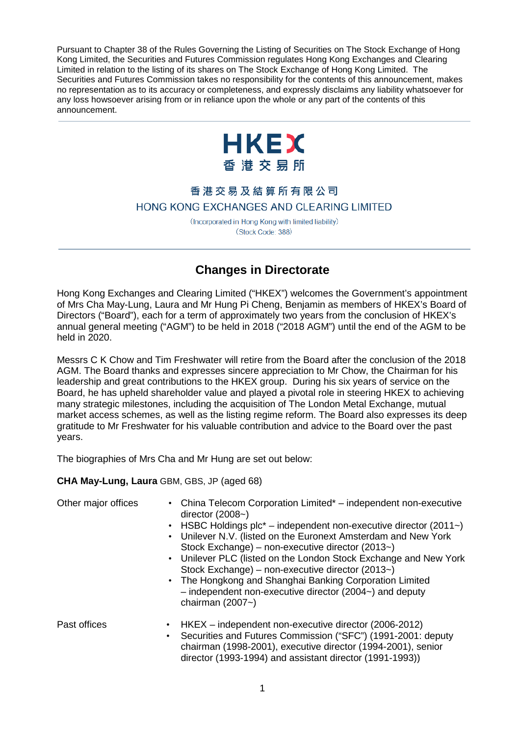Pursuant to Chapter 38 of the Rules Governing the Listing of Securities on The Stock Exchange of Hong Kong Limited, the Securities and Futures Commission regulates Hong Kong Exchanges and Clearing Limited in relation to the listing of its shares on The Stock Exchange of Hong Kong Limited. The Securities and Futures Commission takes no responsibility for the contents of this announcement, makes no representation as to its accuracy or completeness, and expressly disclaims any liability whatsoever for any loss howsoever arising from or in reliance upon the whole or any part of the contents of this announcement.



## 香港交易及結算所有限公司 HONG KONG EXCHANGES AND CLEARING LIMITED

(Incorporated in Hong Kong with limited liability) (Stock Code: 388)

## **Changes in Directorate**

Hong Kong Exchanges and Clearing Limited ("HKEX") welcomes the Government's appointment of Mrs Cha May-Lung, Laura and Mr Hung Pi Cheng, Benjamin as members of HKEX's Board of Directors ("Board"), each for a term of approximately two years from the conclusion of HKEX's annual general meeting ("AGM") to be held in 2018 ("2018 AGM") until the end of the AGM to be held in 2020.

Messrs C K Chow and Tim Freshwater will retire from the Board after the conclusion of the 2018 AGM. The Board thanks and expresses sincere appreciation to Mr Chow, the Chairman for his leadership and great contributions to the HKEX group. During his six years of service on the Board, he has upheld shareholder value and played a pivotal role in steering HKEX to achieving many strategic milestones, including the acquisition of The London Metal Exchange, mutual market access schemes, as well as the listing regime reform. The Board also expresses its deep gratitude to Mr Freshwater for his valuable contribution and advice to the Board over the past years.

The biographies of Mrs Cha and Mr Hung are set out below:

## **CHA May-Lung, Laura** GBM, GBS, JP (aged 68)

| Other major offices | • China Telecom Corporation Limited* – independent non-executive<br>director $(2008-)$<br>• HSBC Holdings $pic^*$ – independent non-executive director (2011 $\sim$ )<br>Unilever N.V. (listed on the Euronext Amsterdam and New York<br>$\bullet$<br>Stock Exchange) – non-executive director (2013~)<br>• Unilever PLC (listed on the London Stock Exchange and New York<br>Stock Exchange) – non-executive director (2013~)<br>• The Hongkong and Shanghai Banking Corporation Limited<br>$-$ independent non-executive director (2004 $\sim$ ) and deputy<br>chairman $(2007 -)$ |
|---------------------|--------------------------------------------------------------------------------------------------------------------------------------------------------------------------------------------------------------------------------------------------------------------------------------------------------------------------------------------------------------------------------------------------------------------------------------------------------------------------------------------------------------------------------------------------------------------------------------|
| Past offices        | HKEX – independent non-executive director (2006-2012)<br>٠<br>Securities and Futures Commission ("SFC") (1991-2001: deputy<br>٠<br>chairman (1998-2001), executive director (1994-2001), senior                                                                                                                                                                                                                                                                                                                                                                                      |

director (1993-1994) and assistant director (1991-1993))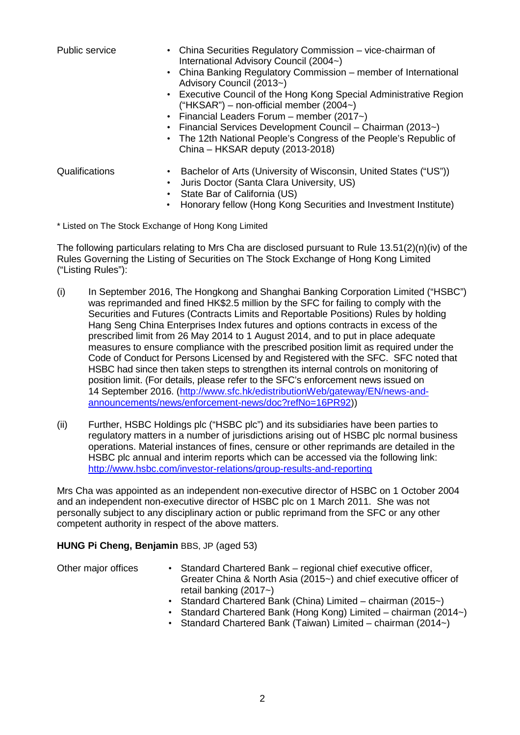| Public service | • China Securities Regulatory Commission - vice-chairman of<br>International Advisory Council (2004~)<br>• China Banking Regulatory Commission – member of International<br>Advisory Council (2013~)<br>• Executive Council of the Hong Kong Special Administrative Region<br>("HKSAR") – non-official member $(2004-)$<br>• Financial Leaders Forum – member $(2017 - )$<br>Financial Services Development Council – Chairman (2013~)<br>$\bullet$<br>• The 12th National People's Congress of the People's Republic of<br>China - HKSAR deputy (2013-2018) |
|----------------|--------------------------------------------------------------------------------------------------------------------------------------------------------------------------------------------------------------------------------------------------------------------------------------------------------------------------------------------------------------------------------------------------------------------------------------------------------------------------------------------------------------------------------------------------------------|
| Qualifications | Bachelor of Arts (University of Wisconsin, United States ("US"))<br>٠<br>Juris Doctor (Santa Clara University, US)<br>٠<br>State Bar of California (US)<br>$\bullet$<br>Honorary fellow (Hong Kong Securities and Investment Institute)<br>٠                                                                                                                                                                                                                                                                                                                 |

\* Listed on The Stock Exchange of Hong Kong Limited

The following particulars relating to Mrs Cha are disclosed pursuant to Rule 13.51(2)(n)(iv) of the Rules Governing the Listing of Securities on The Stock Exchange of Hong Kong Limited ("Listing Rules"):

- (i) In September 2016, The Hongkong and Shanghai Banking Corporation Limited ("HSBC") was reprimanded and fined HK\$2.5 million by the SFC for failing to comply with the Securities and Futures (Contracts Limits and Reportable Positions) Rules by holding Hang Seng China Enterprises Index futures and options contracts in excess of the prescribed limit from 26 May 2014 to 1 August 2014, and to put in place adequate measures to ensure compliance with the prescribed position limit as required under the Code of Conduct for Persons Licensed by and Registered with the SFC. SFC noted that HSBC had since then taken steps to strengthen its internal controls on monitoring of position limit. (For details, please refer to the SFC's enforcement news issued on 14 September 2016. [\(http://www.sfc.hk/edistributionWeb/gateway/EN/news-and](http://www.sfc.hk/edistributionWeb/gateway/EN/news-and-announcements/news/enforcement-news/doc?refNo=16PR92)[announcements/news/enforcement-news/doc?refNo=16PR92\)](http://www.sfc.hk/edistributionWeb/gateway/EN/news-and-announcements/news/enforcement-news/doc?refNo=16PR92))
- (ii) Further, HSBC Holdings plc ("HSBC plc") and its subsidiaries have been parties to regulatory matters in a number of jurisdictions arising out of HSBC plc normal business operations. Material instances of fines, censure or other reprimands are detailed in the HSBC plc annual and interim reports which can be accessed via the following link: <http://www.hsbc.com/investor-relations/group-results-and-reporting>

Mrs Cha was appointed as an independent non-executive director of HSBC on 1 October 2004 and an independent non-executive director of HSBC plc on 1 March 2011. She was not personally subject to any disciplinary action or public reprimand from the SFC or any other competent authority in respect of the above matters.

## **HUNG Pi Cheng, Benjamin** BBS, JP (aged 53)

- Other major offices Standard Chartered Bank regional chief executive officer, Greater China & North Asia (2015~) and chief executive officer of retail banking (2017~)
	- Standard Chartered Bank (China) Limited chairman (2015~)
	- Standard Chartered Bank (Hong Kong) Limited chairman (2014~)
	- Standard Chartered Bank (Taiwan) Limited chairman (2014~)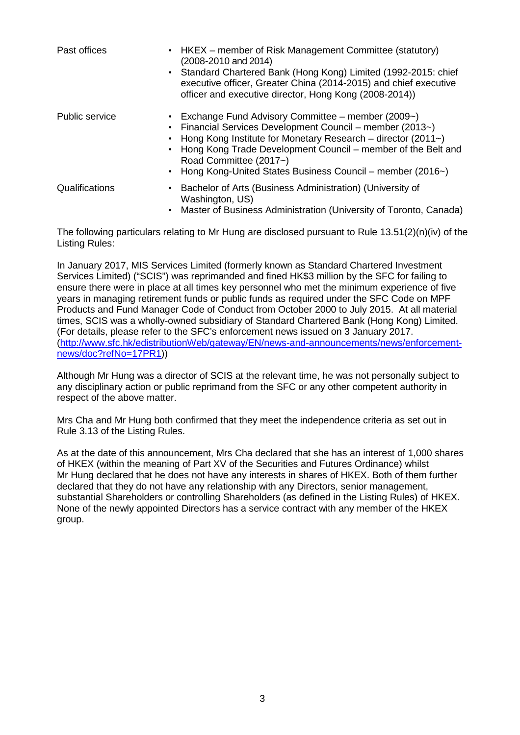| Past offices   | • HKEX – member of Risk Management Committee (statutory)<br>$(2008 - 2010$ and $2014)$<br>• Standard Chartered Bank (Hong Kong) Limited (1992-2015: chief<br>executive officer, Greater China (2014-2015) and chief executive<br>officer and executive director, Hong Kong (2008-2014))                                                   |
|----------------|-------------------------------------------------------------------------------------------------------------------------------------------------------------------------------------------------------------------------------------------------------------------------------------------------------------------------------------------|
| Public service | • Exchange Fund Advisory Committee - member (2009~)<br>• Financial Services Development Council – member (2013~)<br>Hong Kong Institute for Monetary Research – director (2011~)<br>• Hong Kong Trade Development Council – member of the Belt and<br>Road Committee (2017~)<br>Hong Kong-United States Business Council – member (2016~) |
| Qualifications | Bachelor of Arts (Business Administration) (University of<br>Washington, US)<br>• Master of Business Administration (University of Toronto, Canada)                                                                                                                                                                                       |

The following particulars relating to Mr Hung are disclosed pursuant to Rule 13.51(2)(n)(iv) of the Listing Rules:

In January 2017, MIS Services Limited (formerly known as Standard Chartered Investment Services Limited) ("SCIS") was reprimanded and fined HK\$3 million by the SFC for failing to ensure there were in place at all times key personnel who met the minimum experience of five years in managing retirement funds or public funds as required under the SFC Code on MPF Products and Fund Manager Code of Conduct from October 2000 to July 2015. At all material times, SCIS was a wholly-owned subsidiary of Standard Chartered Bank (Hong Kong) Limited. (For details, please refer to the SFC's enforcement news issued on 3 January 2017. [\(http://www.sfc.hk/edistributionWeb/gateway/EN/news-and-announcements/news/enforcement](http://www.sfc.hk/edistributionWeb/gateway/EN/news-and-announcements/news/enforcement-news/doc?refNo=17PR1)[news/doc?refNo=17PR1\)](http://www.sfc.hk/edistributionWeb/gateway/EN/news-and-announcements/news/enforcement-news/doc?refNo=17PR1))

Although Mr Hung was a director of SCIS at the relevant time, he was not personally subject to any disciplinary action or public reprimand from the SFC or any other competent authority in respect of the above matter.

Mrs Cha and Mr Hung both confirmed that they meet the independence criteria as set out in Rule 3.13 of the Listing Rules.

As at the date of this announcement, Mrs Cha declared that she has an interest of 1,000 shares of HKEX (within the meaning of Part XV of the Securities and Futures Ordinance) whilst Mr Hung declared that he does not have any interests in shares of HKEX. Both of them further declared that they do not have any relationship with any Directors, senior management, substantial Shareholders or controlling Shareholders (as defined in the Listing Rules) of HKEX. None of the newly appointed Directors has a service contract with any member of the HKEX group.